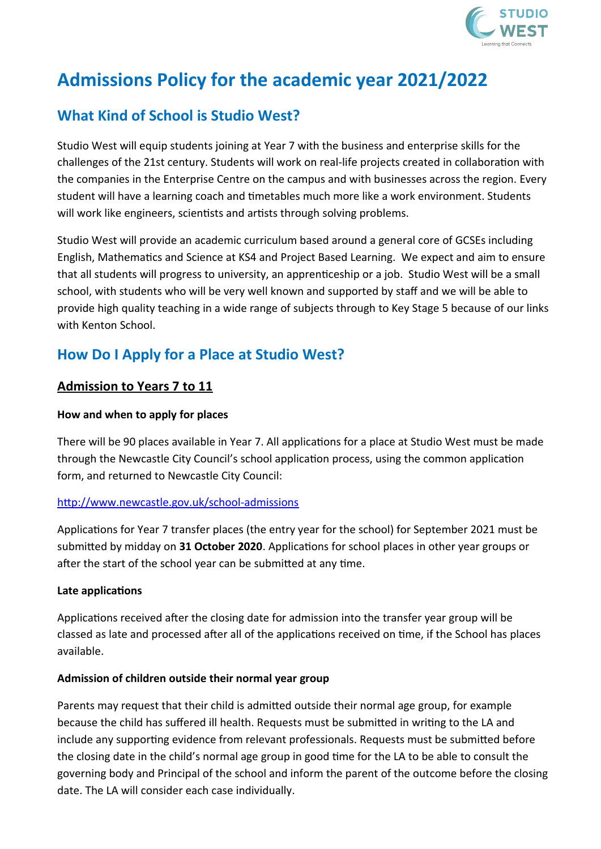

# **Admissions Policy for the academic year 2021/2022**

# **What Kind of School is Studio West?**

Studio West will equip students joining at Year 7 with the business and enterprise skills for the challenges of the 21st century. Students will work on real-life projects created in collaboration with the companies in the Enterprise Centre on the campus and with businesses across the region. Every student will have a learning coach and timetables much more like a work environment. Students will work like engineers, scientists and artists through solving problems.

Studio West will provide an academic curriculum based around a general core of GCSEs including English, Mathematics and Science at KS4 and Project Based Learning. We expect and aim to ensure that all students will progress to university, an apprenticeship or a job. Studio West will be a small school, with students who will be very well known and supported by staff and we will be able to provide high quality teaching in a wide range of subjects through to Key Stage 5 because of our links with Kenton School.

## **How Do I Apply for a Place at Studio West?**

### **Admission to Years 7 to 11**

#### **How and when to apply for places**

There will be 90 places available in Year 7. All applications for a place at Studio West must be made through the Newcastle City Council's school application process, using the common application form, and returned to Newcastle City Council:

#### <http://www.newcastle.gov.uk/school-admissions>

Applications for Year 7 transfer places (the entry year for the school) for September 2021 must be submitted by midday on **31 October 2020**. Applications for school places in other year groups or after the start of the school year can be submitted at any time.

#### **Late applications**

Applications received after the closing date for admission into the transfer year group will be classed as late and processed after all of the applications received on time, if the School has places available.

#### **Admission of children outside their normal year group**

Parents may request that their child is admitted outside their normal age group, for example because the child has suffered ill health. Requests must be submitted in writing to the LA and include any supporting evidence from relevant professionals. Requests must be submitted before the closing date in the child's normal age group in good time for the LA to be able to consult the governing body and Principal of the school and inform the parent of the outcome before the closing date. The LA will consider each case individually.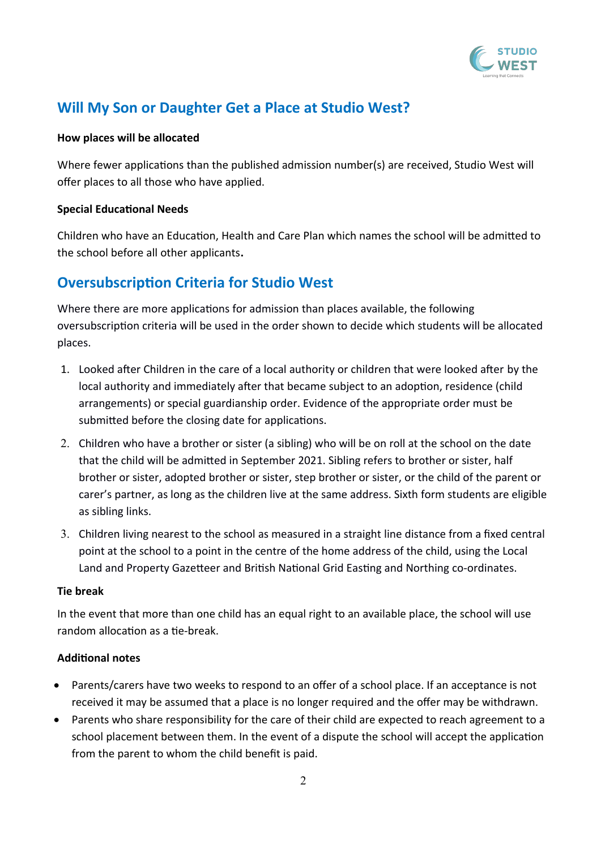

### **Will My Son or Daughter Get a Place at Studio West?**

#### **How places will be allocated**

Where fewer applications than the published admission number(s) are received, Studio West will offer places to all those who have applied.

#### **Special Educational Needs**

Children who have an Education, Health and Care Plan which names the school will be admitted to the school before all other applicants**.** 

### **Oversubscription Criteria for Studio West**

Where there are more applications for admission than places available, the following oversubscription criteria will be used in the order shown to decide which students will be allocated places.

- 1. Looked after Children in the care of a local authority or children that were looked after by the local authority and immediately after that became subject to an adoption, residence (child arrangements) or special guardianship order. Evidence of the appropriate order must be submitted before the closing date for applications.
- 2. Children who have a brother or sister (a sibling) who will be on roll at the school on the date that the child will be admitted in September 2021. Sibling refers to brother or sister, half brother or sister, adopted brother or sister, step brother or sister, or the child of the parent or carer's partner, as long as the children live at the same address. Sixth form students are eligible as sibling links.
- 3. Children living nearest to the school as measured in a straight line distance from a fixed central point at the school to a point in the centre of the home address of the child, using the Local Land and Property Gazetteer and British National Grid Easting and Northing co-ordinates.

#### **Tie break**

In the event that more than one child has an equal right to an available place, the school will use random allocation as a tie-break.

#### **Additional notes**

- Parents/carers have two weeks to respond to an offer of a school place. If an acceptance is not received it may be assumed that a place is no longer required and the offer may be withdrawn.
- Parents who share responsibility for the care of their child are expected to reach agreement to a school placement between them. In the event of a dispute the school will accept the application from the parent to whom the child benefit is paid.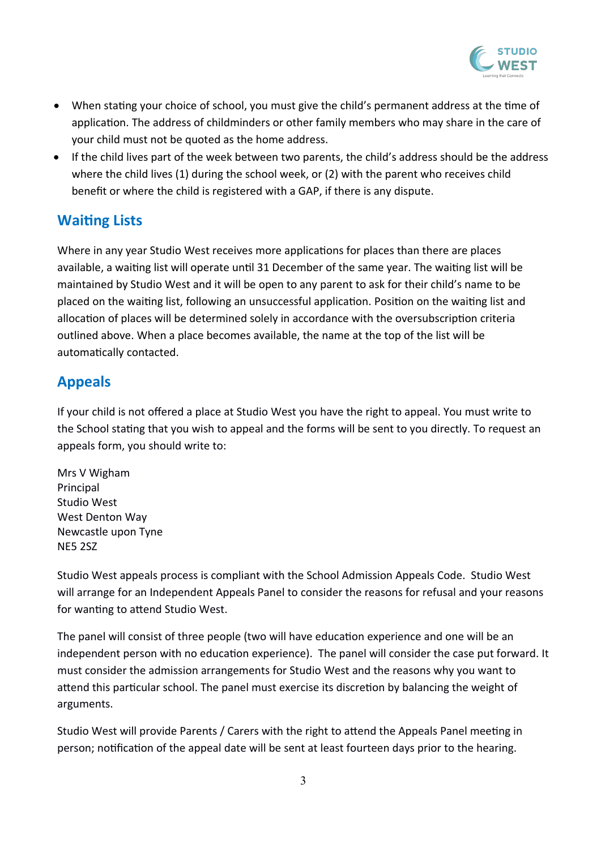

- When stating your choice of school, you must give the child's permanent address at the time of application. The address of childminders or other family members who may share in the care of your child must not be quoted as the home address.
- If the child lives part of the week between two parents, the child's address should be the address where the child lives (1) during the school week, or (2) with the parent who receives child benefit or where the child is registered with a GAP, if there is any dispute.

### **Waiting Lists**

Where in any year Studio West receives more applications for places than there are places available, a waiting list will operate until 31 December of the same year. The waiting list will be maintained by Studio West and it will be open to any parent to ask for their child's name to be placed on the waiting list, following an unsuccessful application. Position on the waiting list and allocation of places will be determined solely in accordance with the oversubscription criteria outlined above. When a place becomes available, the name at the top of the list will be automatically contacted.

### **Appeals**

If your child is not offered a place at Studio West you have the right to appeal. You must write to the School stating that you wish to appeal and the forms will be sent to you directly. To request an appeals form, you should write to:

Mrs V Wigham Principal Studio West West Denton Way Newcastle upon Tyne NE5 2SZ

Studio West appeals process is compliant with the School Admission Appeals Code. Studio West will arrange for an Independent Appeals Panel to consider the reasons for refusal and your reasons for wanting to attend Studio West.

The panel will consist of three people (two will have education experience and one will be an independent person with no education experience). The panel will consider the case put forward. It must consider the admission arrangements for Studio West and the reasons why you want to attend this particular school. The panel must exercise its discretion by balancing the weight of arguments.

Studio West will provide Parents / Carers with the right to attend the Appeals Panel meeting in person; notification of the appeal date will be sent at least fourteen days prior to the hearing.